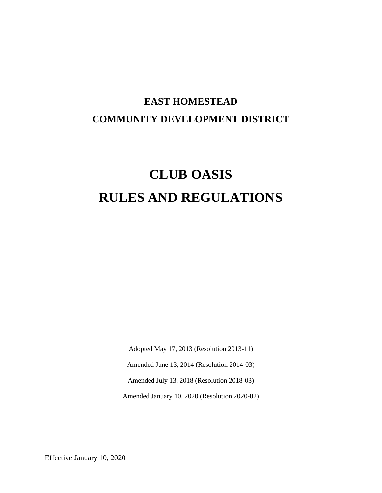# **EAST HOMESTEAD COMMUNITY DEVELOPMENT DISTRICT**

# **CLUB OASIS RULES AND REGULATIONS**

Adopted May 17, 2013 (Resolution 2013-11)

Amended June 13, 2014 (Resolution 2014-03)

Amended July 13, 2018 (Resolution 2018-03)

Amended January 10, 2020 (Resolution 2020-02)

Effective January 10, 2020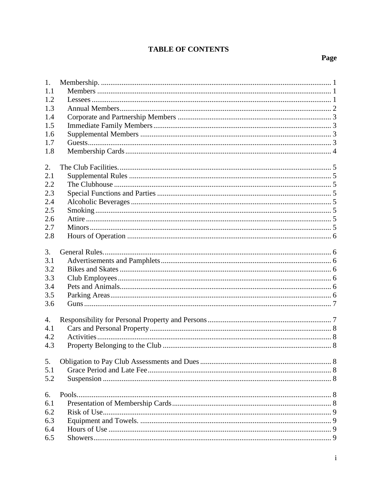# **TABLE OF CONTENTS**

# Page

| 1.  |  |
|-----|--|
| 1.1 |  |
| 1.2 |  |
| 1.3 |  |
| 1.4 |  |
| 1.5 |  |
| 1.6 |  |
| 1.7 |  |
| 1.8 |  |
|     |  |
| 2.  |  |
| 2.1 |  |
| 2.2 |  |
| 2.3 |  |
| 2.4 |  |
| 2.5 |  |
| 2.6 |  |
| 2.7 |  |
| 2.8 |  |
|     |  |
| 3.  |  |
| 3.1 |  |
| 3.2 |  |
| 3.3 |  |
| 3.4 |  |
| 3.5 |  |
| 3.6 |  |
|     |  |
| 4.  |  |
| 4.1 |  |
| 4.2 |  |
| 4.3 |  |
|     |  |
| 5.  |  |
| 5.1 |  |
| 5.2 |  |
|     |  |
| 6.  |  |
| 6.1 |  |
| 6.2 |  |
| 6.3 |  |
| 6.4 |  |
| 6.5 |  |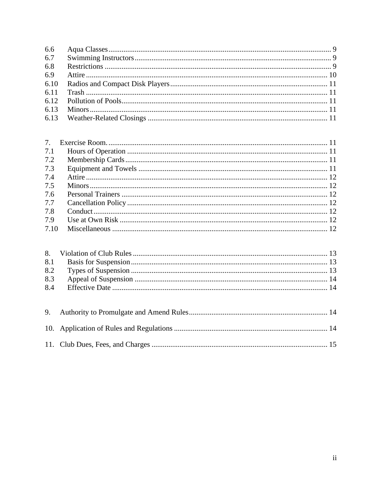| 7.2 |  |
|-----|--|
| 7.3 |  |
| 7.4 |  |
| 7.5 |  |
| 7.6 |  |
| 7.7 |  |
| 7.8 |  |
| 7.9 |  |
|     |  |

| $10.$ Application of Dulas and Deculations $14$ |  |
|-------------------------------------------------|--|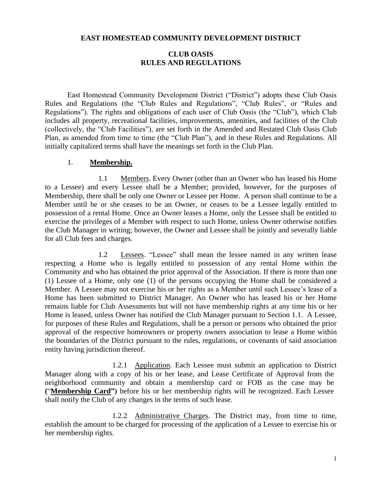#### **EAST HOMESTEAD COMMUNITY DEVELOPMENT DISTRICT**

### **CLUB OASIS RULES AND REGULATIONS**

East Homestead Community Development District ("District") adopts these Club Oasis Rules and Regulations (the "Club Rules and Regulations", "Club Rules", or "Rules and Regulations"). The rights and obligations of each user of Club Oasis (the "Club"), which Club includes all property, recreational facilities, improvements, amenities, and facilities of the Club (collectively, the "Club Facilities"), are set forth in the Amended and Restated Club Oasis Club Plan, as amended from time to time (the "Club Plan"), and in these Rules and Regulations. All initially capitalized terms shall have the meanings set forth in the Club Plan.

#### 1. **Membership.**

1.1 Members. Every Owner (other than an Owner who has leased his Home to a Lessee) and every Lessee shall be a Member; provided, however, for the purposes of Membership, there shall be only one Owner or Lessee per Home. A person shall continue to be a Member until he or she ceases to be an Owner, or ceases to be a Lessee legally entitled to possession of a rental Home. Once an Owner leases a Home, only the Lessee shall be entitled to exercise the privileges of a Member with respect to such Home, unless Owner otherwise notifies the Club Manager in writing; however, the Owner and Lessee shall be jointly and severally liable for all Club fees and charges.

1.2 Lessees. "Lessee" shall mean the lessee named in any written lease respecting a Home who is legally entitled to possession of any rental Home within the Community and who has obtained the prior approval of the Association. If there is more than one (1) Lessee of a Home, only one (1) of the persons occupying the Home shall be considered a Member. A Lessee may not exercise his or her rights as a Member until such Lessee's lease of a Home has been submitted to District Manager. An Owner who has leased his or her Home remains liable for Club Assessments but will not have membership rights at any time his or her Home is leased, unless Owner has notified the Club Manager pursuant to Section 1.1. A Lessee, for purposes of these Rules and Regulations, shall be a person or persons who obtained the prior approval of the respective homeowners or property owners association to lease a Home within the boundaries of the District pursuant to the rules, regulations, or covenants of said association entity having jurisdiction thereof.

1.2.1 Application. Each Lessee must submit an application to District Manager along with a copy of his or her lease, and Lease Certificate of Approval from the neighborhood community and obtain a membership card or FOB as the case may be **(**"**Membership Card")** before his or her membership rights will be recognized. Each Lessee shall notify the Club of any changes in the terms of such lease.

1.2.2 Administrative Charges. The District may, from time to time, establish the amount to be charged for processing of the application of a Lessee to exercise his or her membership rights.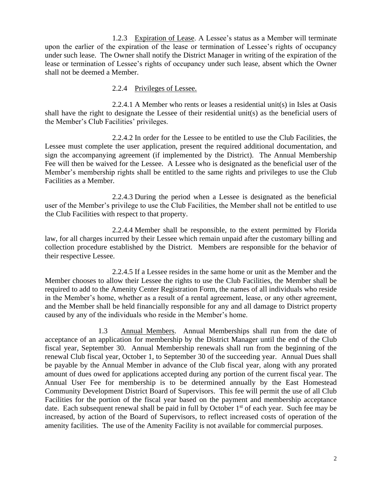1.2.3 Expiration of Lease. A Lessee's status as a Member will terminate upon the earlier of the expiration of the lease or termination of Lessee's rights of occupancy under such lease. The Owner shall notify the District Manager in writing of the expiration of the lease or termination of Lessee's rights of occupancy under such lease, absent which the Owner shall not be deemed a Member.

#### 2.2.4 Privileges of Lessee.

2.2.4.1 A Member who rents or leases a residential unit(s) in Isles at Oasis shall have the right to designate the Lessee of their residential unit(s) as the beneficial users of the Member's Club Facilities' privileges.

2.2.4.2 In order for the Lessee to be entitled to use the Club Facilities, the Lessee must complete the user application, present the required additional documentation, and sign the accompanying agreement (if implemented by the District). The Annual Membership Fee will then be waived for the Lessee. A Lessee who is designated as the beneficial user of the Member's membership rights shall be entitled to the same rights and privileges to use the Club Facilities as a Member.

2.2.4.3 During the period when a Lessee is designated as the beneficial user of the Member's privilege to use the Club Facilities, the Member shall not be entitled to use the Club Facilities with respect to that property.

2.2.4.4 Member shall be responsible, to the extent permitted by Florida law, for all charges incurred by their Lessee which remain unpaid after the customary billing and collection procedure established by the District. Members are responsible for the behavior of their respective Lessee.

2.2.4.5 If a Lessee resides in the same home or unit as the Member and the Member chooses to allow their Lessee the rights to use the Club Facilities, the Member shall be required to add to the Amenity Center Registration Form, the names of all individuals who reside in the Member's home, whether as a result of a rental agreement, lease, or any other agreement, and the Member shall be held financially responsible for any and all damage to District property caused by any of the individuals who reside in the Member's home.

1.3 Annual Members. Annual Memberships shall run from the date of acceptance of an application for membership by the District Manager until the end of the Club fiscal year, September 30. Annual Membership renewals shall run from the beginning of the renewal Club fiscal year, October 1, to September 30 of the succeeding year. Annual Dues shall be payable by the Annual Member in advance of the Club fiscal year, along with any prorated amount of dues owed for applications accepted during any portion of the current fiscal year. The Annual User Fee for membership is to be determined annually by the East Homestead Community Development District Board of Supervisors. This fee will permit the use of all Club Facilities for the portion of the fiscal year based on the payment and membership acceptance date. Each subsequent renewal shall be paid in full by October  $1<sup>st</sup>$  of each year. Such fee may be increased, by action of the Board of Supervisors, to reflect increased costs of operation of the amenity facilities. The use of the Amenity Facility is not available for commercial purposes.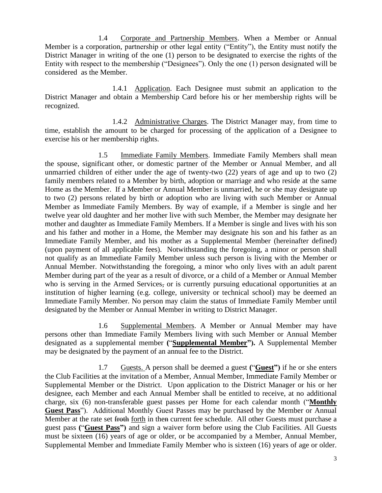1.4 Corporate and Partnership Members. When a Member or Annual Member is a corporation, partnership or other legal entity ("Entity"), the Entity must notify the District Manager in writing of the one (1) person to be designated to exercise the rights of the Entity with respect to the membership ("Designees"). Only the one (1) person designated will be considered as the Member.

1.4.1 Application. Each Designee must submit an application to the District Manager and obtain a Membership Card before his or her membership rights will be recognized.

1.4.2 Administrative Charges. The District Manager may, from time to time, establish the amount to be charged for processing of the application of a Designee to exercise his or her membership rights.

1.5 Immediate Family Members. Immediate Family Members shall mean the spouse, significant other, or domestic partner of the Member or Annual Member, and all unmarried children of either under the age of twenty-two (22) years of age and up to two (2) family members related to a Member by birth, adoption or marriage and who reside at the same Home as the Member. If a Member or Annual Member is unmarried, he or she may designate up to two (2) persons related by birth or adoption who are living with such Member or Annual Member as Immediate Family Members. By way of example, if a Member is single and her twelve year old daughter and her mother live with such Member, the Member may designate her mother and daughter as Immediate Family Members. If a Member is single and lives with his son and his father and mother in a Home, the Member may designate his son and his father as an Immediate Family Member, and his mother as a Supplemental Member (hereinafter defined) (upon payment of all applicable fees). Notwithstanding the foregoing, a minor or person shall not qualify as an Immediate Family Member unless such person is living with the Member or Annual Member. Notwithstanding the foregoing, a minor who only lives with an adult parent Member during part of the year as a result of divorce, or a child of a Member or Annual Member who is serving in the Armed Services, or is currently pursuing educational opportunities at an institution of higher learning (e.g. college, university or technical school) may be deemed an Immediate Family Member. No person may claim the status of Immediate Family Member until designated by the Member or Annual Member in writing to District Manager.

1.6 Supplemental Members. A Member or Annual Member may have persons other than Immediate Family Members living with such Member or Annual Member designated as a supplemental member **(**"**Supplemental Member").** A Supplemental Member may be designated by the payment of an annual fee to the District.

1.7 Guests. A person shall be deemed a guest **(**"**Guest")** if he or she enters the Club Facilities at the invitation of a Member, Annual Member, Immediate Family Member or Supplemental Member or the District. Upon application to the District Manager or his or her designee, each Member and each Annual Member shall be entitled to receive, at no additional charge, six (6) non-transferable guest passes per Home for each calendar month ("**Monthly Guest Pass**"). Additional Monthly Guest Passes may be purchased by the Member or Annual Member at the rate set froth forth in then current fee schedule. All other Guests must purchase a guest pass **(**"**Guest Pass")** and sign a waiver form before using the Club Facilities. All Guests must be sixteen (16) years of age or older, or be accompanied by a Member, Annual Member, Supplemental Member and Immediate Family Member who is sixteen (16) years of age or older.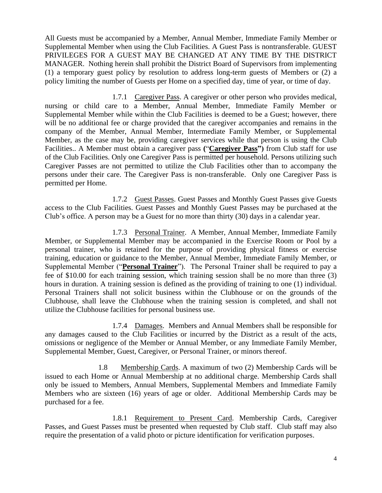All Guests must be accompanied by a Member, Annual Member, Immediate Family Member or Supplemental Member when using the Club Facilities. A Guest Pass is nontransferable. GUEST PRIVILEGES FOR A GUEST MAY BE CHANGED AT ANY TIME BY THE DISTRICT MANAGER. Nothing herein shall prohibit the District Board of Supervisors from implementing (1) a temporary guest policy by resolution to address long-term guests of Members or (2) a policy limiting the number of Guests per Home on a specified day, time of year, or time of day.

1.7.1 Caregiver Pass. A caregiver or other person who provides medical, nursing or child care to a Member, Annual Member, Immediate Family Member or Supplemental Member while within the Club Facilities is deemed to be a Guest; however, there will be no additional fee or charge provided that the caregiver accompanies and remains in the company of the Member, Annual Member, Intermediate Family Member, or Supplemental Member, as the case may be, providing caregiver services while that person is using the Club Facilities.. A Member must obtain a caregiver pass **(**"**Caregiver Pass")** from Club staff for use of the Club Facilities. Only one Caregiver Pass is permitted per household. Persons utilizing such Caregiver Passes are not permitted to utilize the Club Facilities other than to accompany the persons under their care. The Caregiver Pass is non-transferable. Only one Caregiver Pass is permitted per Home.

1.7.2 Guest Passes. Guest Passes and Monthly Guest Passes give Guests access to the Club Facilities. Guest Passes and Monthly Guest Passes may be purchased at the Club's office. A person may be a Guest for no more than thirty (30) days in a calendar year.

1.7.3 Personal Trainer. A Member, Annual Member, Immediate Family Member, or Supplemental Member may be accompanied in the Exercise Room or Pool by a personal trainer, who is retained for the purpose of providing physical fitness or exercise training, education or guidance to the Member, Annual Member, Immediate Family Member, or Supplemental Member ("**Personal Trainer**"). The Personal Trainer shall be required to pay a fee of \$10.00 for each training session, which training session shall be no more than three (3) hours in duration. A training session is defined as the providing of training to one (1) individual. Personal Trainers shall not solicit business within the Clubhouse or on the grounds of the Clubhouse, shall leave the Clubhouse when the training session is completed, and shall not utilize the Clubhouse facilities for personal business use.

1.7.4 Damages. Members and Annual Members shall be responsible for any damages caused to the Club Facilities or incurred by the District as a result of the acts, omissions or negligence of the Member or Annual Member, or any Immediate Family Member, Supplemental Member, Guest, Caregiver, or Personal Trainer, or minors thereof.

1.8 Membership Cards. A maximum of two (2) Membership Cards will be issued to each Home or Annual Membership at no additional charge. Membership Cards shall only be issued to Members, Annual Members, Supplemental Members and Immediate Family Members who are sixteen (16) years of age or older. Additional Membership Cards may be purchased for a fee.

1.8.1 Requirement to Present Card. Membership Cards, Caregiver Passes, and Guest Passes must be presented when requested by Club staff. Club staff may also require the presentation of a valid photo or picture identification for verification purposes.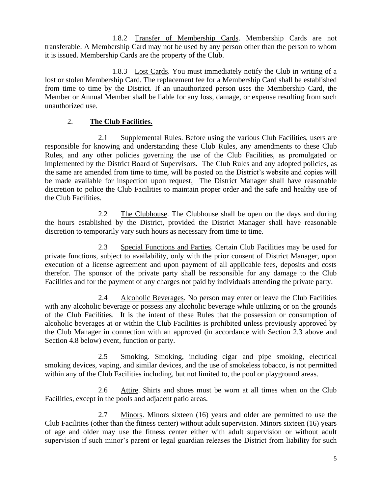1.8.2 Transfer of Membership Cards. Membership Cards are not transferable. A Membership Card may not be used by any person other than the person to whom it is issued. Membership Cards are the property of the Club.

1.8.3 Lost Cards. You must immediately notify the Club in writing of a lost or stolen Membership Card. The replacement fee for a Membership Card shall be established from time to time by the District. If an unauthorized person uses the Membership Card, the Member or Annual Member shall be liable for any loss, damage, or expense resulting from such unauthorized use.

## 2. **The Club Facilities.**

2.1 Supplemental Rules. Before using the various Club Facilities, users are responsible for knowing and understanding these Club Rules, any amendments to these Club Rules, and any other policies governing the use of the Club Facilities, as promulgated or implemented by the District Board of Supervisors. The Club Rules and any adopted policies, as the same are amended from time to time, will be posted on the District's website and copies will be made available for inspection upon request. The District Manager shall have reasonable discretion to police the Club Facilities to maintain proper order and the safe and healthy use of the Club Facilities.

2.2 The Clubhouse. The Clubhouse shall be open on the days and during the hours established by the District, provided the District Manager shall have reasonable discretion to temporarily vary such hours as necessary from time to time.

2.3 Special Functions and Parties. Certain Club Facilities may be used for private functions, subject to availability, only with the prior consent of District Manager, upon execution of a license agreement and upon payment of all applicable fees, deposits and costs therefor. The sponsor of the private party shall be responsible for any damage to the Club Facilities and for the payment of any charges not paid by individuals attending the private party.

2.4 Alcoholic Beverages. No person may enter or leave the Club Facilities with any alcoholic beverage or possess any alcoholic beverage while utilizing or on the grounds of the Club Facilities. It is the intent of these Rules that the possession or consumption of alcoholic beverages at or within the Club Facilities is prohibited unless previously approved by the Club Manager in connection with an approved (in accordance with Section 2.3 above and Section 4.8 below) event, function or party.

2.5 Smoking. Smoking, including cigar and pipe smoking, electrical smoking devices, vaping, and similar devices, and the use of smokeless tobacco, is not permitted within any of the Club Facilities including, but not limited to, the pool or playground areas.

2.6 Attire. Shirts and shoes must be worn at all times when on the Club Facilities, except in the pools and adjacent patio areas.

2.7 Minors. Minors sixteen (16) years and older are permitted to use the Club Facilities (other than the fitness center) without adult supervision. Minors sixteen (16) years of age and older may use the fitness center either with adult supervision or without adult supervision if such minor's parent or legal guardian releases the District from liability for such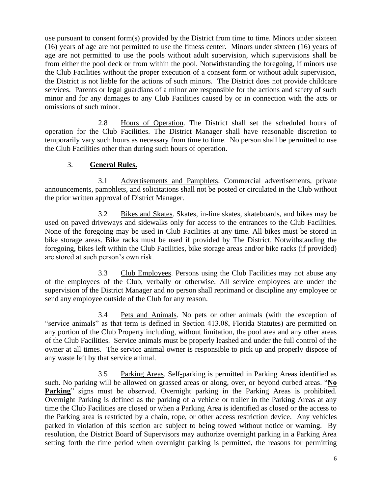use pursuant to consent form(s) provided by the District from time to time. Minors under sixteen (16) years of age are not permitted to use the fitness center. Minors under sixteen (16) years of age are not permitted to use the pools without adult supervision, which supervisions shall be from either the pool deck or from within the pool. Notwithstanding the foregoing, if minors use the Club Facilities without the proper execution of a consent form or without adult supervision, the District is not liable for the actions of such minors. The District does not provide childcare services. Parents or legal guardians of a minor are responsible for the actions and safety of such minor and for any damages to any Club Facilities caused by or in connection with the acts or omissions of such minor.

2.8 Hours of Operation. The District shall set the scheduled hours of operation for the Club Facilities. The District Manager shall have reasonable discretion to temporarily vary such hours as necessary from time to time. No person shall be permitted to use the Club Facilities other than during such hours of operation.

### 3. **General Rules.**

3.1 Advertisements and Pamphlets. Commercial advertisements, private announcements, pamphlets, and solicitations shall not be posted or circulated in the Club without the prior written approval of District Manager.

3.2 Bikes and Skates. Skates, in-line skates, skateboards, and bikes may be used on paved driveways and sidewalks only for access to the entrances to the Club Facilities. None of the foregoing may be used in Club Facilities at any time. All bikes must be stored in bike storage areas. Bike racks must be used if provided by The District. Notwithstanding the foregoing, bikes left within the Club Facilities, bike storage areas and/or bike racks (if provided) are stored at such person's own risk.

3.3 Club Employees. Persons using the Club Facilities may not abuse any of the employees of the Club, verbally or otherwise. All service employees are under the supervision of the District Manager and no person shall reprimand or discipline any employee or send any employee outside of the Club for any reason.

3.4 Pets and Animals. No pets or other animals (with the exception of "service animals" as that term is defined in Section 413.08, Florida Statutes) are permitted on any portion of the Club Property including, without limitation, the pool area and any other areas of the Club Facilities. Service animals must be properly leashed and under the full control of the owner at all times. The service animal owner is responsible to pick up and properly dispose of any waste left by that service animal.

3.5 Parking Areas. Self-parking is permitted in Parking Areas identified as such. No parking will be allowed on grassed areas or along, over, or beyond curbed areas. "**No**  Parking" signs must be observed. Overnight parking in the Parking Areas is prohibited. Overnight Parking is defined as the parking of a vehicle or trailer in the Parking Areas at any time the Club Facilities are closed or when a Parking Area is identified as closed or the access to the Parking area is restricted by a chain, rope, or other access restriction device. Any vehicles parked in violation of this section are subject to being towed without notice or warning. By resolution, the District Board of Supervisors may authorize overnight parking in a Parking Area setting forth the time period when overnight parking is permitted, the reasons for permitting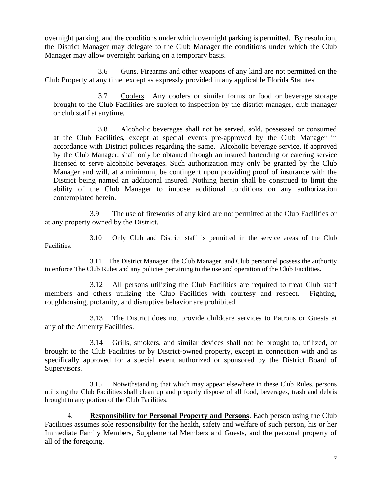overnight parking, and the conditions under which overnight parking is permitted. By resolution, the District Manager may delegate to the Club Manager the conditions under which the Club Manager may allow overnight parking on a temporary basis.

3.6 Guns. Firearms and other weapons of any kind are not permitted on the Club Property at any time, except as expressly provided in any applicable Florida Statutes.

3.7 Coolers. Any coolers or similar forms or food or beverage storage brought to the Club Facilities are subject to inspection by the district manager, club manager or club staff at anytime.

3.8 Alcoholic beverages shall not be served, sold, possessed or consumed at the Club Facilities, except at special events pre-approved by the Club Manager in accordance with District policies regarding the same. Alcoholic beverage service, if approved by the Club Manager, shall only be obtained through an insured bartending or catering service licensed to serve alcoholic beverages. Such authorization may only be granted by the Club Manager and will, at a minimum, be contingent upon providing proof of insurance with the District being named an additional insured. Nothing herein shall be construed to limit the ability of the Club Manager to impose additional conditions on any authorization contemplated herein.

3.9 The use of fireworks of any kind are not permitted at the Club Facilities or at any property owned by the District.

3.10 Only Club and District staff is permitted in the service areas of the Club Facilities.

3.11 The District Manager, the Club Manager, and Club personnel possess the authority to enforce The Club Rules and any policies pertaining to the use and operation of the Club Facilities.

3.12 All persons utilizing the Club Facilities are required to treat Club staff members and others utilizing the Club Facilities with courtesy and respect. Fighting, roughhousing, profanity, and disruptive behavior are prohibited.

3.13 The District does not provide childcare services to Patrons or Guests at any of the Amenity Facilities.

3.14 Grills, smokers, and similar devices shall not be brought to, utilized, or brought to the Club Facilities or by District-owned property, except in connection with and as specifically approved for a special event authorized or sponsored by the District Board of Supervisors.

3.15 Notwithstanding that which may appear elsewhere in these Club Rules, persons utilizing the Club Facilities shall clean up and properly dispose of all food, beverages, trash and debris brought to any portion of the Club Facilities.

4. **Responsibility for Personal Property and Persons**. Each person using the Club Facilities assumes sole responsibility for the health, safety and welfare of such person, his or her Immediate Family Members, Supplemental Members and Guests, and the personal property of all of the foregoing.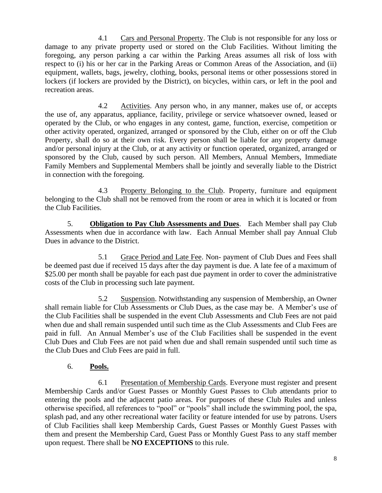4.1 Cars and Personal Property. The Club is not responsible for any loss or damage to any private property used or stored on the Club Facilities. Without limiting the foregoing, any person parking a car within the Parking Areas assumes all risk of loss with respect to (i) his or her car in the Parking Areas or Common Areas of the Association, and (ii) equipment, wallets, bags, jewelry, clothing, books, personal items or other possessions stored in lockers (if lockers are provided by the District), on bicycles, within cars, or left in the pool and recreation areas.

4.2 Activities. Any person who, in any manner, makes use of, or accepts the use of, any apparatus, appliance, facility, privilege or service whatsoever owned, leased or operated by the Club, or who engages in any contest, game, function, exercise, competition or other activity operated, organized, arranged or sponsored by the Club, either on or off the Club Property, shall do so at their own risk. Every person shall be liable for any property damage and/or personal injury at the Club, or at any activity or function operated, organized, arranged or sponsored by the Club, caused by such person. All Members, Annual Members, Immediate Family Members and Supplemental Members shall be jointly and severally liable to the District in connection with the foregoing.

4.3 Property Belonging to the Club. Property, furniture and equipment belonging to the Club shall not be removed from the room or area in which it is located or from the Club Facilities.

5. **Obligation to Pay Club Assessments and Dues**. Each Member shall pay Club Assessments when due in accordance with law. Each Annual Member shall pay Annual Club Dues in advance to the District.

5.1 Grace Period and Late Fee. Non- payment of Club Dues and Fees shall be deemed past due if received 15 days after the day payment is due. A late fee of a maximum of \$25.00 per month shall be payable for each past due payment in order to cover the administrative costs of the Club in processing such late payment.

5.2 Suspension. Notwithstanding any suspension of Membership, an Owner shall remain liable for Club Assessments or Club Dues, as the case may be. A Member's use of the Club Facilities shall be suspended in the event Club Assessments and Club Fees are not paid when due and shall remain suspended until such time as the Club Assessments and Club Fees are paid in full. An Annual Member's use of the Club Facilities shall be suspended in the event Club Dues and Club Fees are not paid when due and shall remain suspended until such time as the Club Dues and Club Fees are paid in full.

# 6. **Pools.**

6.1 Presentation of Membership Cards. Everyone must register and present Membership Cards and/or Guest Passes or Monthly Guest Passes to Club attendants prior to entering the pools and the adjacent patio areas. For purposes of these Club Rules and unless otherwise specified, all references to "pool" or "pools" shall include the swimming pool, the spa, splash pad, and any other recreational water facility or feature intended for use by patrons. Users of Club Facilities shall keep Membership Cards, Guest Passes or Monthly Guest Passes with them and present the Membership Card, Guest Pass or Monthly Guest Pass to any staff member upon request. There shall be **NO EXCEPTIONS** to this rule.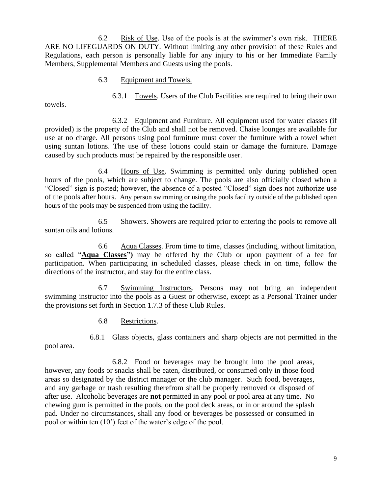6.2 Risk of Use. Use of the pools is at the swimmer's own risk. THERE ARE NO LIFEGUARDS ON DUTY. Without limiting any other provision of these Rules and Regulations, each person is personally liable for any injury to his or her Immediate Family Members, Supplemental Members and Guests using the pools.

6.3 Equipment and Towels.

6.3.1 Towels. Users of the Club Facilities are required to bring their own

towels.

6.3.2 Equipment and Furniture. All equipment used for water classes (if provided) is the property of the Club and shall not be removed. Chaise lounges are available for use at no charge. All persons using pool furniture must cover the furniture with a towel when using suntan lotions. The use of these lotions could stain or damage the furniture. Damage caused by such products must be repaired by the responsible user.

6.4 Hours of Use. Swimming is permitted only during published open hours of the pools, which are subject to change. The pools are also officially closed when a "Closed" sign is posted; however, the absence of a posted "Closed" sign does not authorize use of the pools after hours. Any person swimming or using the pools facility outside of the published open hours of the pools may be suspended from using the facility.

6.5 Showers. Showers are required prior to entering the pools to remove all suntan oils and lotions.

6.6 Aqua Classes. From time to time, classes (including, without limitation, so called "**Aqua Classes")** may be offered by the Club or upon payment of a fee for participation. When participating in scheduled classes, please check in on time, follow the directions of the instructor, and stay for the entire class.

6.7 Swimming Instructors. Persons may not bring an independent swimming instructor into the pools as a Guest or otherwise, except as a Personal Trainer under the provisions set forth in Section 1.7.3 of these Club Rules.

6.8 Restrictions.

6.8.1 Glass objects, glass containers and sharp objects are not permitted in the

pool area.

6.8.2 Food or beverages may be brought into the pool areas, however, any foods or snacks shall be eaten, distributed, or consumed only in those food areas so designated by the district manager or the club manager. Such food, beverages, and any garbage or trash resulting therefrom shall be properly removed or disposed of after use. Alcoholic beverages are **not** permitted in any pool or pool area at any time. No chewing gum is permitted in the pools, on the pool deck areas, or in or around the splash pad. Under no circumstances, shall any food or beverages be possessed or consumed in pool or within ten (10') feet of the water's edge of the pool.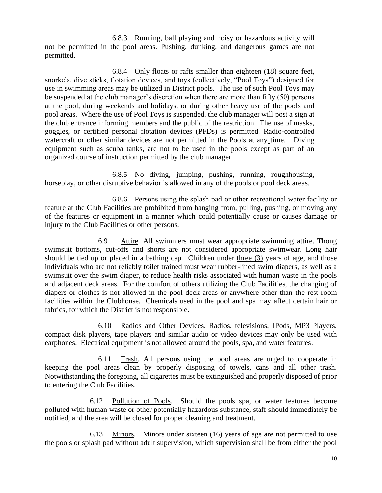6.8.3 Running, ball playing and noisy or hazardous activity will not be permitted in the pool areas. Pushing, dunking, and dangerous games are not permitted.

6.8.4 Only floats or rafts smaller than eighteen (18) square feet, snorkels, dive sticks, flotation devices, and toys (collectively, "Pool Toys") designed for use in swimming areas may be utilized in District pools. The use of such Pool Toys may be suspended at the club manager's discretion when there are more than fifty (50) persons at the pool, during weekends and holidays, or during other heavy use of the pools and pool areas. Where the use of Pool Toys is suspended, the club manager will post a sign at the club entrance informing members and the public of the restriction. The use of masks, goggles, or certified personal flotation devices (PFDs) is permitted. Radio-controlled watercraft or other similar devices are not permitted in the Pools at any time. Diving equipment such as scuba tanks, are not to be used in the pools except as part of an organized course of instruction permitted by the club manager.

6.8.5 No diving, jumping, pushing, running, roughhousing, horseplay, or other disruptive behavior is allowed in any of the pools or pool deck areas.

6.8.6 Persons using the splash pad or other recreational water facility or feature at the Club Facilities are prohibited from hanging from, pulling, pushing, or moving any of the features or equipment in a manner which could potentially cause or causes damage or injury to the Club Facilities or other persons.

6.9 Attire. All swimmers must wear appropriate swimming attire. Thong swimsuit bottoms, cut-offs and shorts are not considered appropriate swimwear. Long hair should be tied up or placed in a bathing cap. Children under three (3) years of age, and those individuals who are not reliably toilet trained must wear rubber-lined swim diapers, as well as a swimsuit over the swim diaper, to reduce health risks associated with human waste in the pools and adjacent deck areas. For the comfort of others utilizing the Club Facilities, the changing of diapers or clothes is not allowed in the pool deck areas or anywhere other than the rest room facilities within the Clubhouse. Chemicals used in the pool and spa may affect certain hair or fabrics, for which the District is not responsible.

6.10 Radios and Other Devices. Radios, televisions, IPods, MP3 Players, compact disk players, tape players and similar audio or video devices may only be used with earphones. Electrical equipment is not allowed around the pools, spa, and water features.

6.11 Trash. All persons using the pool areas are urged to cooperate in keeping the pool areas clean by properly disposing of towels, cans and all other trash. Notwithstanding the foregoing, all cigarettes must be extinguished and properly disposed of prior to entering the Club Facilities.

6.12 Pollution of Pools. Should the pools spa, or water features become polluted with human waste or other potentially hazardous substance, staff should immediately be notified, and the area will be closed for proper cleaning and treatment.

6.13 Minors. Minors under sixteen (16) years of age are not permitted to use the pools or splash pad without adult supervision, which supervision shall be from either the pool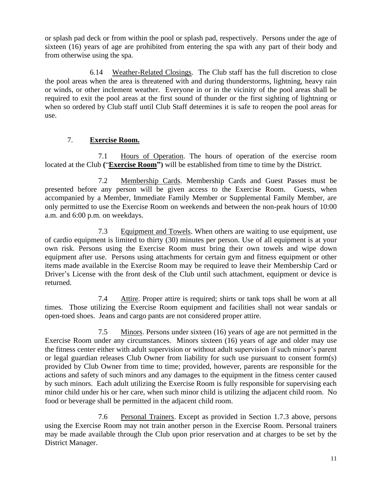or splash pad deck or from within the pool or splash pad, respectively. Persons under the age of sixteen (16) years of age are prohibited from entering the spa with any part of their body and from otherwise using the spa.

6.14 Weather-Related Closings. The Club staff has the full discretion to close the pool areas when the area is threatened with and during thunderstorms, lightning, heavy rain or winds, or other inclement weather. Everyone in or in the vicinity of the pool areas shall be required to exit the pool areas at the first sound of thunder or the first sighting of lightning or when so ordered by Club staff until Club Staff determines it is safe to reopen the pool areas for use.

# 7. **Exercise Room.**

7.1 Hours of Operation. The hours of operation of the exercise room located at the Club **(**"**Exercise Room")** will be established from time to time by the District.

7.2 Membership Cards. Membership Cards and Guest Passes must be presented before any person will be given access to the Exercise Room. Guests, when accompanied by a Member, Immediate Family Member or Supplemental Family Member, are only permitted to use the Exercise Room on weekends and between the non-peak hours of 10:00 a.m. and 6:00 p.m. on weekdays.

7.3 Equipment and Towels. When others are waiting to use equipment, use of cardio equipment is limited to thirty (30) minutes per person. Use of all equipment is at your own risk. Persons using the Exercise Room must bring their own towels and wipe down equipment after use. Persons using attachments for certain gym and fitness equipment or other items made available in the Exercise Room may be required to leave their Membership Card or Driver's License with the front desk of the Club until such attachment, equipment or device is returned.

7.4 Attire. Proper attire is required; shirts or tank tops shall be worn at all times. Those utilizing the Exercise Room equipment and facilities shall not wear sandals or open-toed shoes. Jeans and cargo pants are not considered proper attire.

7.5 Minors. Persons under sixteen (16) years of age are not permitted in the Exercise Room under any circumstances. Minors sixteen (16) years of age and older may use the fitness center either with adult supervision or without adult supervision if such minor's parent or legal guardian releases Club Owner from liability for such use pursuant to consent form(s) provided by Club Owner from time to time; provided, however, parents are responsible for the actions and safety of such minors and any damages to the equipment in the fitness center caused by such minors. Each adult utilizing the Exercise Room is fully responsible for supervising each minor child under his or her care, when such minor child is utilizing the adjacent child room. No food or beverage shall be permitted in the adjacent child room.

7.6 Personal Trainers. Except as provided in Section 1.7.3 above, persons using the Exercise Room may not train another person in the Exercise Room. Personal trainers may be made available through the Club upon prior reservation and at charges to be set by the District Manager.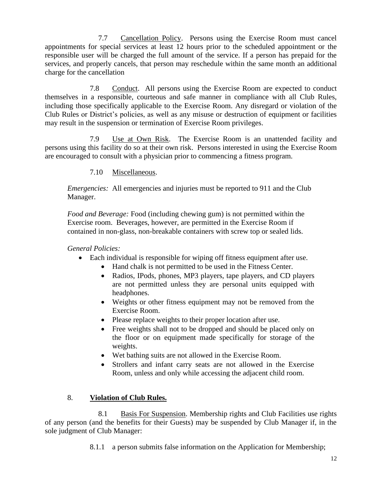7.7 Cancellation Policy. Persons using the Exercise Room must cancel appointments for special services at least 12 hours prior to the scheduled appointment or the responsible user will be charged the full amount of the service. If a person has prepaid for the services, and properly cancels, that person may reschedule within the same month an additional charge for the cancellation

7.8 Conduct. All persons using the Exercise Room are expected to conduct themselves in a responsible, courteous and safe manner in compliance with all Club Rules, including those specifically applicable to the Exercise Room. Any disregard or violation of the Club Rules or District's policies, as well as any misuse or destruction of equipment or facilities may result in the suspension or termination of Exercise Room privileges.

7.9 Use at Own Risk. The Exercise Room is an unattended facility and persons using this facility do so at their own risk. Persons interested in using the Exercise Room are encouraged to consult with a physician prior to commencing a fitness program.

### 7.10 Miscellaneous.

*Emergencies:* All emergencies and injuries must be reported to 911 and the Club Manager.

*Food and Beverage:* Food (including chewing gum) is not permitted within the Exercise room. Beverages, however, are permitted in the Exercise Room if contained in non-glass, non-breakable containers with screw top or sealed lids.

*General Policies:*

- Each individual is responsible for wiping off fitness equipment after use.
	- Hand chalk is not permitted to be used in the Fitness Center.
	- Radios, IPods, phones, MP3 players, tape players, and CD players are not permitted unless they are personal units equipped with headphones.
	- Weights or other fitness equipment may not be removed from the Exercise Room.
	- Please replace weights to their proper location after use.
	- Free weights shall not to be dropped and should be placed only on the floor or on equipment made specifically for storage of the weights.
	- Wet bathing suits are not allowed in the Exercise Room.
	- Strollers and infant carry seats are not allowed in the Exercise Room, unless and only while accessing the adjacent child room.

### 8. **Violation of Club Rules.**

8.1 Basis For Suspension. Membership rights and Club Facilities use rights of any person (and the benefits for their Guests) may be suspended by Club Manager if, in the sole judgment of Club Manager:

8.1.1 a person submits false information on the Application for Membership;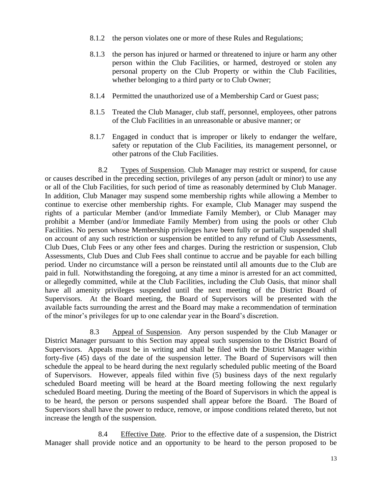- 8.1.2 the person violates one or more of these Rules and Regulations;
- 8.1.3 the person has injured or harmed or threatened to injure or harm any other person within the Club Facilities, or harmed, destroyed or stolen any personal property on the Club Property or within the Club Facilities, whether belonging to a third party or to Club Owner;
- 8.1.4 Permitted the unauthorized use of a Membership Card or Guest pass;
- 8.1.5 Treated the Club Manager, club staff, personnel, employees, other patrons of the Club Facilities in an unreasonable or abusive manner; or
- 8.1.7 Engaged in conduct that is improper or likely to endanger the welfare, safety or reputation of the Club Facilities, its management personnel, or other patrons of the Club Facilities.

8.2 Types of Suspension. Club Manager may restrict or suspend, for cause or causes described in the preceding section, privileges of any person (adult or minor) to use any or all of the Club Facilities, for such period of time as reasonably determined by Club Manager. In addition, Club Manager may suspend some membership rights while allowing a Member to continue to exercise other membership rights. For example, Club Manager may suspend the rights of a particular Member (and/or Immediate Family Member), or Club Manager may prohibit a Member (and/or Immediate Family Member) from using the pools or other Club Facilities. No person whose Membership privileges have been fully or partially suspended shall on account of any such restriction or suspension be entitled to any refund of Club Assessments, Club Dues, Club Fees or any other fees and charges. During the restriction or suspension, Club Assessments, Club Dues and Club Fees shall continue to accrue and be payable for each billing period. Under no circumstance will a person be reinstated until all amounts due to the Club are paid in full. Notwithstanding the foregoing, at any time a minor is arrested for an act committed, or allegedly committed, while at the Club Facilities, including the Club Oasis, that minor shall have all amenity privileges suspended until the next meeting of the District Board of Supervisors. At the Board meeting, the Board of Supervisors will be presented with the available facts surrounding the arrest and the Board may make a recommendation of termination of the minor's privileges for up to one calendar year in the Board's discretion.

8.3 Appeal of Suspension. Any person suspended by the Club Manager or District Manager pursuant to this Section may appeal such suspension to the District Board of Supervisors. Appeals must be in writing and shall be filed with the District Manager within forty-five (45) days of the date of the suspension letter. The Board of Supervisors will then schedule the appeal to be heard during the next regularly scheduled public meeting of the Board of Supervisors. However, appeals filed within five (5) business days of the next regularly scheduled Board meeting will be heard at the Board meeting following the next regularly scheduled Board meeting. During the meeting of the Board of Supervisors in which the appeal is to be heard, the person or persons suspended shall appear before the Board. The Board of Supervisors shall have the power to reduce, remove, or impose conditions related thereto, but not increase the length of the suspension.

8.4 Effective Date. Prior to the effective date of a suspension, the District Manager shall provide notice and an opportunity to be heard to the person proposed to be